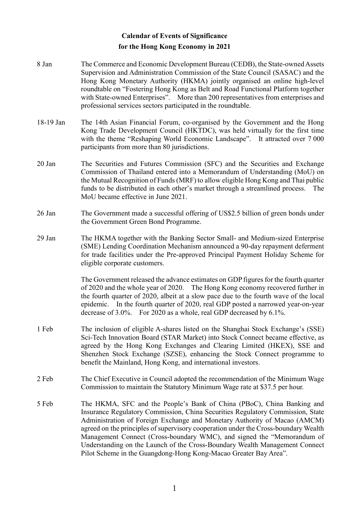## Calendar of Events of Significance for the Hong Kong Economy in 2021

- 8 Jan The Commerce and Economic Development Bureau (CEDB), the State-owned Assets Supervision and Administration Commission of the State Council (SASAC) and the Hong Kong Monetary Authority (HKMA) jointly organised an online high-level roundtable on "Fostering Hong Kong as Belt and Road Functional Platform together with State-owned Enterprises". More than 200 representatives from enterprises and professional services sectors participated in the roundtable.
- 18-19 Jan The 14th Asian Financial Forum, co-organised by the Government and the Hong Kong Trade Development Council (HKTDC), was held virtually for the first time with the theme "Reshaping World Economic Landscape". It attracted over 7000 participants from more than 80 jurisdictions.
- 20 Jan The Securities and Futures Commission (SFC) and the Securities and Exchange Commission of Thailand entered into a Memorandum of Understanding (MoU) on the Mutual Recognition of Funds (MRF) to allow eligible Hong Kong and Thai public funds to be distributed in each other's market through a streamlined process. The MoU became effective in June 2021.
- 26 Jan The Government made a successful offering of US\$2.5 billion of green bonds under the Government Green Bond Programme.
- 29 Jan The HKMA together with the Banking Sector Small- and Medium-sized Enterprise (SME) Lending Coordination Mechanism announced a 90-day repayment deferment for trade facilities under the Pre-approved Principal Payment Holiday Scheme for eligible corporate customers.

The Government released the advance estimates on GDP figures for the fourth quarter of 2020 and the whole year of 2020. The Hong Kong economy recovered further in the fourth quarter of 2020, albeit at a slow pace due to the fourth wave of the local epidemic. In the fourth quarter of 2020, real GDP posted a narrowed year-on-year decrease of 3.0%. For 2020 as a whole, real GDP decreased by 6.1%.

- 1 Feb The inclusion of eligible A-shares listed on the Shanghai Stock Exchange's (SSE) Sci-Tech Innovation Board (STAR Market) into Stock Connect became effective, as agreed by the Hong Kong Exchanges and Clearing Limited (HKEX), SSE and Shenzhen Stock Exchange (SZSE), enhancing the Stock Connect programme to benefit the Mainland, Hong Kong, and international investors.
- 2 Feb The Chief Executive in Council adopted the recommendation of the Minimum Wage Commission to maintain the Statutory Minimum Wage rate at \$37.5 per hour.
- 5 Feb The HKMA, SFC and the People's Bank of China (PBoC), China Banking and Insurance Regulatory Commission, China Securities Regulatory Commission, State Administration of Foreign Exchange and Monetary Authority of Macao (AMCM) agreed on the principles of supervisory cooperation under the Cross-boundary Wealth Management Connect (Cross-boundary WMC), and signed the "Memorandum of Understanding on the Launch of the Cross-Boundary Wealth Management Connect Pilot Scheme in the Guangdong-Hong Kong-Macao Greater Bay Area".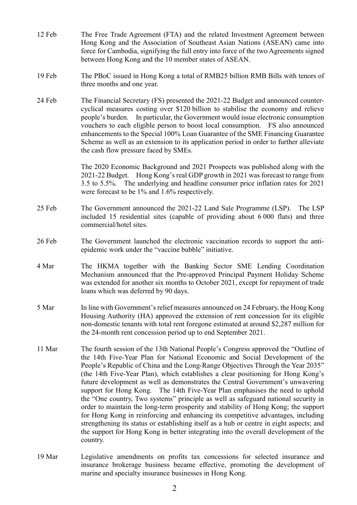- 12 Feb The Free Trade Agreement (FTA) and the related Investment Agreement between Hong Kong and the Association of Southeast Asian Nations (ASEAN) came into force for Cambodia, signifying the full entry into force of the two Agreements signed between Hong Kong and the 10 member states of ASEAN.
- 19 Feb The PBoC issued in Hong Kong a total of RMB25 billion RMB Bills with tenors of three months and one year.
- 24 Feb The Financial Secretary (FS) presented the 2021-22 Budget and announced countercyclical measures costing over \$120 billion to stabilise the economy and relieve people's burden. In particular, the Government would issue electronic consumption vouchers to each eligible person to boost local consumption. FS also announced enhancements to the Special 100% Loan Guarantee of the SME Financing Guarantee Scheme as well as an extension to its application period in order to further alleviate the cash flow pressure faced by SMEs.

The 2020 Economic Background and 2021 Prospects was published along with the 2021-22 Budget. Hong Kong's real GDP growth in 2021 was forecast to range from 3.5 to 5.5%. The underlying and headline consumer price inflation rates for 2021 were forecast to be 1% and 1.6% respectively.

- 25 Feb The Government announced the 2021-22 Land Sale Programme (LSP). The LSP included 15 residential sites (capable of providing about 6 000 flats) and three commercial/hotel sites.
- 26 Feb The Government launched the electronic vaccination records to support the antiepidemic work under the "vaccine bubble" initiative.
- 4 Mar The HKMA together with the Banking Sector SME Lending Coordination Mechanism announced that the Pre-approved Principal Payment Holiday Scheme was extended for another six months to October 2021, except for repayment of trade loans which was deferred by 90 days.
- 5 Mar In line with Government's relief measures announced on 24 February, the Hong Kong Housing Authority (HA) approved the extension of rent concession for its eligible non-domestic tenants with total rent foregone estimated at around \$2,287 million for the 24-month rent concession period up to end September 2021.
- 11 Mar The fourth session of the 13th National People's Congress approved the "Outline of the 14th Five-Year Plan for National Economic and Social Development of the People's Republic of China and the Long-Range Objectives Through the Year 2035" (the 14th Five-Year Plan), which establishes a clear positioning for Hong Kong's future development as well as demonstrates the Central Government's unwavering support for Hong Kong. The 14th Five-Year Plan emphasises the need to uphold the "One country, Two systems" principle as well as safeguard national security in order to maintain the long-term prosperity and stability of Hong Kong; the support for Hong Kong in reinforcing and enhancing its competitive advantages, including strengthening its status or establishing itself as a hub or centre in eight aspects; and the support for Hong Kong in better integrating into the overall development of the country.
- 19 Mar Legislative amendments on profits tax concessions for selected insurance and insurance brokerage business became effective, promoting the development of marine and specialty insurance businesses in Hong Kong.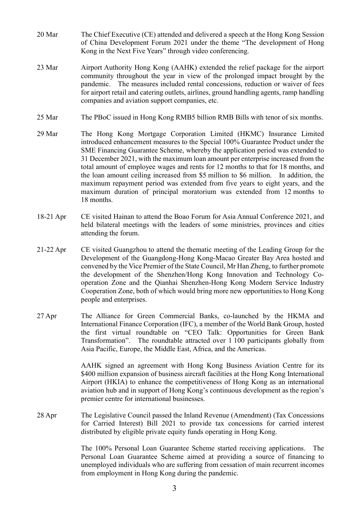- 20 Mar The Chief Executive (CE) attended and delivered a speech at the Hong Kong Session of China Development Forum 2021 under the theme "The development of Hong Kong in the Next Five Years" through video conferencing.
- 23 Mar Airport Authority Hong Kong (AAHK) extended the relief package for the airport community throughout the year in view of the prolonged impact brought by the pandemic. The measures included rental concessions, reduction or waiver of fees for airport retail and catering outlets, airlines, ground handling agents, ramp handling companies and aviation support companies, etc.
- 25 Mar The PBoC issued in Hong Kong RMB5 billion RMB Bills with tenor of six months.
- 29 Mar The Hong Kong Mortgage Corporation Limited (HKMC) Insurance Limited introduced enhancement measures to the Special 100% Guarantee Product under the SME Financing Guarantee Scheme, whereby the application period was extended to 31 December 2021, with the maximum loan amount per enterprise increased from the total amount of employee wages and rents for 12 months to that for 18 months, and the loan amount ceiling increased from \$5 million to \$6 million. In addition, the maximum repayment period was extended from five years to eight years, and the maximum duration of principal moratorium was extended from 12 months to 18 months.
- 18-21 Apr CE visited Hainan to attend the Boao Forum for Asia Annual Conference 2021, and held bilateral meetings with the leaders of some ministries, provinces and cities attending the forum.
- 21-22 Apr CE visited Guangzhou to attend the thematic meeting of the Leading Group for the Development of the Guangdong-Hong Kong-Macao Greater Bay Area hosted and convened by the Vice Premier of the State Council, Mr Han Zheng, to further promote the development of the Shenzhen/Hong Kong Innovation and Technology Cooperation Zone and the Qianhai Shenzhen-Hong Kong Modern Service Industry Cooperation Zone, both of which would bring more new opportunities to Hong Kong people and enterprises.
- 27 Apr The Alliance for Green Commercial Banks, co-launched by the HKMA and International Finance Corporation (IFC), a member of the World Bank Group, hosted the first virtual roundtable on "CEO Talk: Opportunities for Green Bank Transformation". The roundtable attracted over 1 100 participants globally from Asia Pacific, Europe, the Middle East, Africa, and the Americas.

AAHK signed an agreement with Hong Kong Business Aviation Centre for its \$400 million expansion of business aircraft facilities at the Hong Kong International Airport (HKIA) to enhance the competitiveness of Hong Kong as an international aviation hub and in support of Hong Kong's continuous development as the region's premier centre for international businesses.

28 Apr The Legislative Council passed the Inland Revenue (Amendment) (Tax Concessions for Carried Interest) Bill 2021 to provide tax concessions for carried interest distributed by eligible private equity funds operating in Hong Kong.

> The 100% Personal Loan Guarantee Scheme started receiving applications. The Personal Loan Guarantee Scheme aimed at providing a source of financing to unemployed individuals who are suffering from cessation of main recurrent incomes from employment in Hong Kong during the pandemic.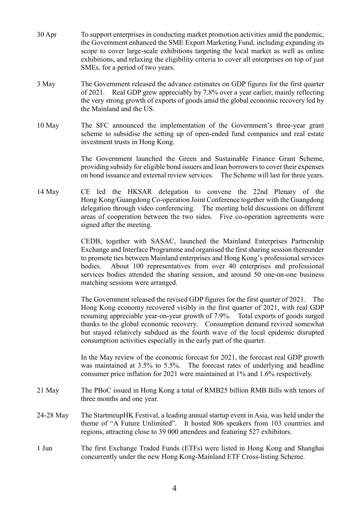- 30 Apr To support enterprises in conducting market promotion activities amid the pandemic, the Government enhanced the SME Export Marketing Fund, including expanding its scope to cover large-scale exhibitions targeting the local market as well as online exhibitions, and relaxing the eligibility criteria to cover all enterprises on top of just SMEs, for a period of two years.
- 3 May The Government released the advance estimates on GDP figures for the first quarter of 2021. Real GDP grew appreciably by 7.8% over a year earlier, mainly reflecting the very strong growth of exports of goods amid the global economic recovery led by the Mainland and the US.
- 10 May The SFC announced the implementation of the Government's three-year grant scheme to subsidise the setting up of open-ended fund companies and real estate investment trusts in Hong Kong.

The Government launched the Green and Sustainable Finance Grant Scheme, providing subsidy for eligible bond issuers and loan borrowers to cover their expenses on bond issuance and external review services. The Scheme will last for three years.

14 May CE led the HKSAR delegation to convene the 22nd Plenary of the Hong Kong/Guangdong Co-operation Joint Conference together with the Guangdong delegation through video conferencing. The meeting held discussions on different areas of cooperation between the two sides. Five co-operation agreements were signed after the meeting.

> CEDB, together with SASAC, launched the Mainland Enterprises Partnership Exchange and Interface Programme and organised the first sharing session thereunder to promote ties between Mainland enterprises and Hong Kong's professional services bodies. About 100 representatives from over 40 enterprises and professional services bodies attended the sharing session, and around 50 one-on-one business matching sessions were arranged.

> The Government released the revised GDP figures for the first quarter of 2021. The Hong Kong economy recovered visibly in the first quarter of 2021, with real GDP resuming appreciable year-on-year growth of 7.9%. Total exports of goods surged thanks to the global economic recovery. Consumption demand revived somewhat but stayed relatively subdued as the fourth wave of the local epidemic disrupted consumption activities especially in the early part of the quarter.

> In the May review of the economic forecast for 2021, the forecast real GDP growth was maintained at 3.5% to 5.5%. The forecast rates of underlying and headline consumer price inflation for 2021 were maintained at 1% and 1.6% respectively.

- 21 May The PBoC issued in Hong Kong a total of RMB25 billion RMB Bills with tenors of three months and one year.
- 24-28 May The StartmeupHK Festival, a leading annual startup event in Asia, was held under the theme of "A Future Unlimited". It hosted 806 speakers from 103 countries and regions, attracting close to 39 000 attendees and featuring 527 exhibitors.
- 1 Jun The first Exchange Traded Funds (ETFs) were listed in Hong Kong and Shanghai concurrently under the new Hong Kong-Mainland ETF Cross-listing Scheme.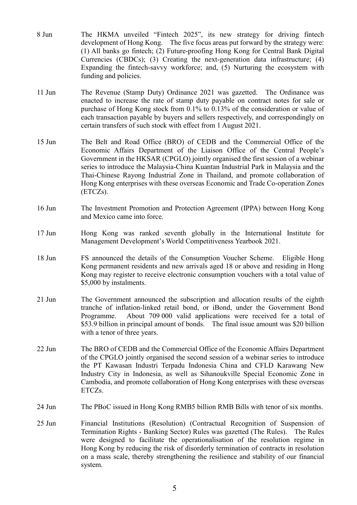- 8 Jun The HKMA unveiled "Fintech 2025", its new strategy for driving fintech development of Hong Kong. The five focus areas put forward by the strategy were: (1) All banks go fintech; (2) Future-proofing Hong Kong for Central Bank Digital Currencies (CBDCs); (3) Creating the next-generation data infrastructure; (4) Expanding the fintech-savvy workforce; and, (5) Nurturing the ecosystem with funding and policies.
- 11 Jun The Revenue (Stamp Duty) Ordinance 2021 was gazetted. The Ordinance was enacted to increase the rate of stamp duty payable on contract notes for sale or purchase of Hong Kong stock from 0.1% to 0.13% of the consideration or value of each transaction payable by buyers and sellers respectively, and correspondingly on certain transfers of such stock with effect from 1 August 2021.
- 15 Jun The Belt and Road Office (BRO) of CEDB and the Commercial Office of the Economic Affairs Department of the Liaison Office of the Central People's Government in the HKSAR (CPGLO) jointly organised the first session of a webinar series to introduce the Malaysia-China Kuantan Industrial Park in Malaysia and the Thai-Chinese Rayong Industrial Zone in Thailand, and promote collaboration of Hong Kong enterprises with these overseas Economic and Trade Co-operation Zones (ETCZs).
- 16 Jun The Investment Promotion and Protection Agreement (IPPA) between Hong Kong and Mexico came into force.
- 17 Jun Hong Kong was ranked seventh globally in the International Institute for Management Development's World Competitiveness Yearbook 2021.
- 18 Jun FS announced the details of the Consumption Voucher Scheme. Eligible Hong Kong permanent residents and new arrivals aged 18 or above and residing in Hong Kong may register to receive electronic consumption vouchers with a total value of \$5,000 by instalments.
- 21 Jun The Government announced the subscription and allocation results of the eighth tranche of inflation-linked retail bond, or iBond, under the Government Bond Programme. About 709 000 valid applications were received for a total of \$53.9 billion in principal amount of bonds. The final issue amount was \$20 billion with a tenor of three years.
- 22 Jun The BRO of CEDB and the Commercial Office of the Economic Affairs Department of the CPGLO jointly organised the second session of a webinar series to introduce the PT Kawasan Industri Terpadu Indonesia China and CFLD Karawang New Industry City in Indonesia, as well as Sihanoukville Special Economic Zone in Cambodia, and promote collaboration of Hong Kong enterprises with these overseas ETCZs.
- 24 Jun The PBoC issued in Hong Kong RMB5 billion RMB Bills with tenor of six months.
- 25 Jun Financial Institutions (Resolution) (Contractual Recognition of Suspension of Termination Rights - Banking Sector) Rules was gazetted (The Rules). The Rules were designed to facilitate the operationalisation of the resolution regime in Hong Kong by reducing the risk of disorderly termination of contracts in resolution on a mass scale, thereby strengthening the resilience and stability of our financial system.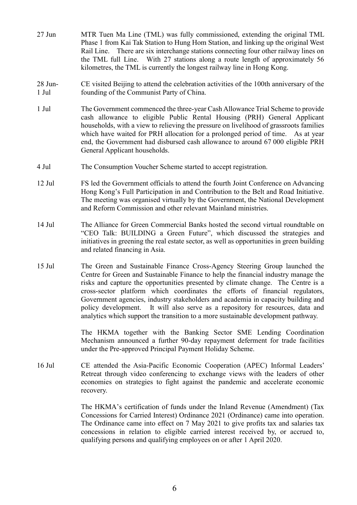- 27 Jun MTR Tuen Ma Line (TML) was fully commissioned, extending the original TML Phase 1 from Kai Tak Station to Hung Hom Station, and linking up the original West Rail Line. There are six interchange stations connecting four other railway lines on the TML full Line. With 27 stations along a route length of approximately 56 kilometres, the TML is currently the longest railway line in Hong Kong.
- 28 Jun-1 Jul CE visited Beijing to attend the celebration activities of the 100th anniversary of the founding of the Communist Party of China.
- 1 Jul The Government commenced the three-year Cash Allowance Trial Scheme to provide cash allowance to eligible Public Rental Housing (PRH) General Applicant households, with a view to relieving the pressure on livelihood of grassroots families which have waited for PRH allocation for a prolonged period of time. As at year end, the Government had disbursed cash allowance to around 67 000 eligible PRH General Applicant households.
- 4 Jul The Consumption Voucher Scheme started to accept registration.
- 12 Jul FS led the Government officials to attend the fourth Joint Conference on Advancing Hong Kong's Full Participation in and Contribution to the Belt and Road Initiative. The meeting was organised virtually by the Government, the National Development and Reform Commission and other relevant Mainland ministries.
- 14 Jul The Alliance for Green Commercial Banks hosted the second virtual roundtable on "CEO Talk: BUILDING a Green Future", which discussed the strategies and initiatives in greening the real estate sector, as well as opportunities in green building and related financing in Asia.
- 15 Jul The Green and Sustainable Finance Cross-Agency Steering Group launched the Centre for Green and Sustainable Finance to help the financial industry manage the risks and capture the opportunities presented by climate change. The Centre is a cross-sector platform which coordinates the efforts of financial regulators, Government agencies, industry stakeholders and academia in capacity building and policy development. It will also serve as a repository for resources, data and analytics which support the transition to a more sustainable development pathway.

The HKMA together with the Banking Sector SME Lending Coordination Mechanism announced a further 90-day repayment deferment for trade facilities under the Pre-approved Principal Payment Holiday Scheme.

16 Jul CE attended the Asia-Pacific Economic Cooperation (APEC) Informal Leaders' Retreat through video conferencing to exchange views with the leaders of other economies on strategies to fight against the pandemic and accelerate economic recovery.

> The HKMA's certification of funds under the Inland Revenue (Amendment) (Tax Concessions for Carried Interest) Ordinance 2021 (Ordinance) came into operation. The Ordinance came into effect on 7 May 2021 to give profits tax and salaries tax concessions in relation to eligible carried interest received by, or accrued to, qualifying persons and qualifying employees on or after 1 April 2020.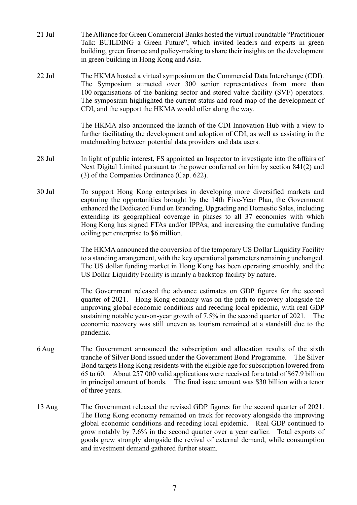- 21 Jul The Alliance for Green Commercial Banks hosted the virtual roundtable "Practitioner Talk: BUILDING a Green Future", which invited leaders and experts in green building, green finance and policy-making to share their insights on the development in green building in Hong Kong and Asia.
- 22 Jul The HKMA hosted a virtual symposium on the Commercial Data Interchange (CDI). The Symposium attracted over 300 senior representatives from more than 100 organisations of the banking sector and stored value facility (SVF) operators. The symposium highlighted the current status and road map of the development of CDI, and the support the HKMA would offer along the way.

The HKMA also announced the launch of the CDI Innovation Hub with a view to further facilitating the development and adoption of CDI, as well as assisting in the matchmaking between potential data providers and data users.

- 28 Jul In light of public interest, FS appointed an Inspector to investigate into the affairs of Next Digital Limited pursuant to the power conferred on him by section 841(2) and (3) of the Companies Ordinance (Cap. 622).
- 30 Jul To support Hong Kong enterprises in developing more diversified markets and capturing the opportunities brought by the 14th Five-Year Plan, the Government enhanced the Dedicated Fund on Branding, Upgrading and Domestic Sales, including extending its geographical coverage in phases to all 37 economies with which Hong Kong has signed FTAs and/or IPPAs, and increasing the cumulative funding ceiling per enterprise to \$6 million.

The HKMA announced the conversion of the temporary US Dollar Liquidity Facility to a standing arrangement, with the key operational parameters remaining unchanged. The US dollar funding market in Hong Kong has been operating smoothly, and the US Dollar Liquidity Facility is mainly a backstop facility by nature.

The Government released the advance estimates on GDP figures for the second quarter of 2021. Hong Kong economy was on the path to recovery alongside the improving global economic conditions and receding local epidemic, with real GDP sustaining notable year-on-year growth of 7.5% in the second quarter of 2021. The economic recovery was still uneven as tourism remained at a standstill due to the pandemic.

- 6 Aug The Government announced the subscription and allocation results of the sixth tranche of Silver Bond issued under the Government Bond Programme. The Silver Bond targets Hong Kong residents with the eligible age for subscription lowered from 65 to 60. About 257 000 valid applications were received for a total of \$67.9 billion in principal amount of bonds. The final issue amount was \$30 billion with a tenor of three years.
- 13 Aug The Government released the revised GDP figures for the second quarter of 2021. The Hong Kong economy remained on track for recovery alongside the improving global economic conditions and receding local epidemic. Real GDP continued to grow notably by 7.6% in the second quarter over a year earlier. Total exports of goods grew strongly alongside the revival of external demand, while consumption and investment demand gathered further steam.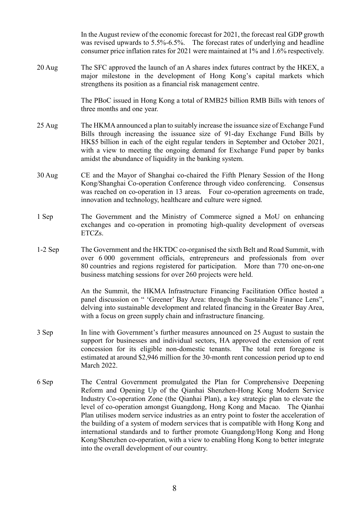In the August review of the economic forecast for 2021, the forecast real GDP growth was revised upwards to 5.5%-6.5%. The forecast rates of underlying and headline consumer price inflation rates for 2021 were maintained at 1% and 1.6% respectively.

20 Aug The SFC approved the launch of an A shares index futures contract by the HKEX, a major milestone in the development of Hong Kong's capital markets which strengthens its position as a financial risk management centre.

> The PBoC issued in Hong Kong a total of RMB25 billion RMB Bills with tenors of three months and one year.

- 25 Aug The HKMA announced a plan to suitably increase the issuance size of Exchange Fund Bills through increasing the issuance size of 91-day Exchange Fund Bills by HK\$5 billion in each of the eight regular tenders in September and October 2021, with a view to meeting the ongoing demand for Exchange Fund paper by banks amidst the abundance of liquidity in the banking system.
- 30 Aug CE and the Mayor of Shanghai co-chaired the Fifth Plenary Session of the Hong Kong/Shanghai Co-operation Conference through video conferencing. Consensus was reached on co-operation in 13 areas. Four co-operation agreements on trade, innovation and technology, healthcare and culture were signed.
- 1 Sep The Government and the Ministry of Commerce signed a MoU on enhancing exchanges and co-operation in promoting high-quality development of overseas ETCZs.
- 1-2 Sep The Government and the HKTDC co-organised the sixth Belt and Road Summit, with over 6 000 government officials, entrepreneurs and professionals from over 80 countries and regions registered for participation. More than 770 one-on-one business matching sessions for over 260 projects were held.

An the Summit, the HKMA Infrastructure Financing Facilitation Office hosted a panel discussion on " 'Greener' Bay Area: through the Sustainable Finance Lens", delving into sustainable development and related financing in the Greater Bay Area, with a focus on green supply chain and infrastructure financing.

- 3 Sep In line with Government's further measures announced on 25 August to sustain the support for businesses and individual sectors, HA approved the extension of rent concession for its eligible non-domestic tenants. The total rent foregone is estimated at around \$2,946 million for the 30-month rent concession period up to end March 2022.
- 6 Sep The Central Government promulgated the Plan for Comprehensive Deepening Reform and Opening Up of the Qianhai Shenzhen-Hong Kong Modern Service Industry Co-operation Zone (the Qianhai Plan), a key strategic plan to elevate the level of co-operation amongst Guangdong, Hong Kong and Macao. The Qianhai Plan utilises modern service industries as an entry point to foster the acceleration of the building of a system of modern services that is compatible with Hong Kong and international standards and to further promote Guangdong/Hong Kong and Hong Kong/Shenzhen co-operation, with a view to enabling Hong Kong to better integrate into the overall development of our country.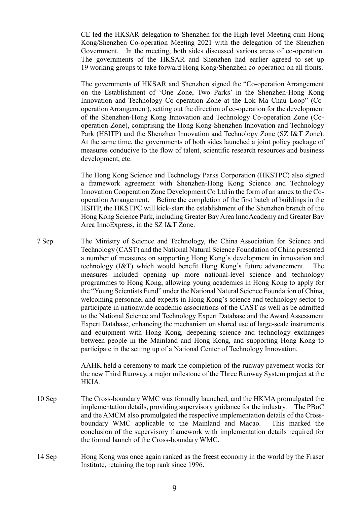CE led the HKSAR delegation to Shenzhen for the High-level Meeting cum Hong Kong/Shenzhen Co-operation Meeting 2021 with the delegation of the Shenzhen Government. In the meeting, both sides discussed various areas of co-operation. The governments of the HKSAR and Shenzhen had earlier agreed to set up 19 working groups to take forward Hong Kong/Shenzhen co-operation on all fronts.

The governments of HKSAR and Shenzhen signed the "Co-operation Arrangement on the Establishment of 'One Zone, Two Parks' in the Shenzhen-Hong Kong Innovation and Technology Co-operation Zone at the Lok Ma Chau Loop" (Cooperation Arrangement), setting out the direction of co-operation for the development of the Shenzhen-Hong Kong Innovation and Technology Co-operation Zone (Cooperation Zone), comprising the Hong Kong-Shenzhen Innovation and Technology Park (HSITP) and the Shenzhen Innovation and Technology Zone (SZ I&T Zone). At the same time, the governments of both sides launched a joint policy package of measures conducive to the flow of talent, scientific research resources and business development, etc.

The Hong Kong Science and Technology Parks Corporation (HKSTPC) also signed a framework agreement with Shenzhen-Hong Kong Science and Technology Innovation Cooperation Zone Development Co Ltd in the form of an annex to the Cooperation Arrangement. Before the completion of the first batch of buildings in the HSITP, the HKSTPC will kick-start the establishment of the Shenzhen branch of the Hong Kong Science Park, including Greater Bay Area InnoAcademy and Greater Bay Area InnoExpress, in the SZ I&T Zone.

7 Sep The Ministry of Science and Technology, the China Association for Science and Technology (CAST) and the National Natural Science Foundation of China presented a number of measures on supporting Hong Kong's development in innovation and technology (I&T) which would benefit Hong Kong's future advancement. The measures included opening up more national-level science and technology programmes to Hong Kong, allowing young academics in Hong Kong to apply for the "Young Scientists Fund" under the National Natural Science Foundation of China, welcoming personnel and experts in Hong Kong's science and technology sector to participate in nationwide academic associations of the CAST as well as be admitted to the National Science and Technology Expert Database and the Award Assessment Expert Database, enhancing the mechanism on shared use of large-scale instruments and equipment with Hong Kong, deepening science and technology exchanges between people in the Mainland and Hong Kong, and supporting Hong Kong to participate in the setting up of a National Center of Technology Innovation.

> AAHK held a ceremony to mark the completion of the runway pavement works for the new Third Runway, a major milestone of the Three Runway System project at the HKIA.

- 10 Sep The Cross-boundary WMC was formally launched, and the HKMA promulgated the implementation details, providing supervisory guidance for the industry. The PBoC and the AMCM also promulgated the respective implementation details of the Crossboundary WMC applicable to the Mainland and Macao. This marked the conclusion of the supervisory framework with implementation details required for the formal launch of the Cross-boundary WMC.
- 14 Sep Hong Kong was once again ranked as the freest economy in the world by the Fraser Institute, retaining the top rank since 1996.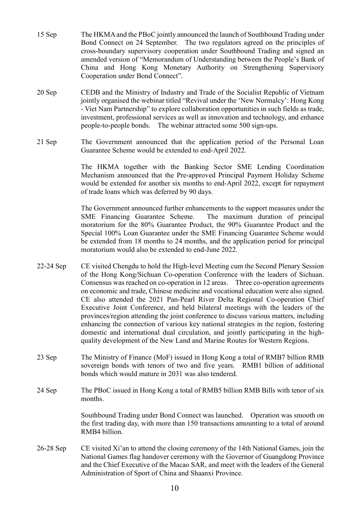- 15 Sep The HKMA and the PBoC jointly announced the launch of Southbound Trading under Bond Connect on 24 September. The two regulators agreed on the principles of cross-boundary supervisory cooperation under Southbound Trading and signed an amended version of "Memorandum of Understanding between the People's Bank of China and Hong Kong Monetary Authority on Strengthening Supervisory Cooperation under Bond Connect".
- 20 Sep CEDB and the Ministry of Industry and Trade of the Socialist Republic of Vietnam jointly organised the webinar titled "Revival under the 'New Normalcy': Hong Kong - Viet Nam Partnership" to explore collaboration opportunities in such fields as trade, investment, professional services as well as innovation and technology, and enhance people-to-people bonds. The webinar attracted some 500 sign-ups.
- 21 Sep The Government announced that the application period of the Personal Loan Guarantee Scheme would be extended to end-April 2022.

The HKMA together with the Banking Sector SME Lending Coordination Mechanism announced that the Pre-approved Principal Payment Holiday Scheme would be extended for another six months to end-April 2022, except for repayment of trade loans which was deferred by 90 days.

The Government announced further enhancements to the support measures under the SME Financing Guarantee Scheme. The maximum duration of principal moratorium for the 80% Guarantee Product, the 90% Guarantee Product and the Special 100% Loan Guarantee under the SME Financing Guarantee Scheme would be extended from 18 months to 24 months, and the application period for principal moratorium would also be extended to end-June 2022.

- 22-24 Sep CE visited Chengdu to hold the High-level Meeting cum the Second Plenary Session of the Hong Kong/Sichuan Co-operation Conference with the leaders of Sichuan. Consensus was reached on co-operation in 12 areas. Three co-operation agreements on economic and trade, Chinese medicine and vocational education were also signed. CE also attended the 2021 Pan-Pearl River Delta Regional Co-operation Chief Executive Joint Conference, and held bilateral meetings with the leaders of the provinces/region attending the joint conference to discuss various matters, including enhancing the connection of various key national strategies in the region, fostering domestic and international dual circulation, and jointly participating in the highquality development of the New Land and Marine Routes for Western Regions.
- 23 Sep The Ministry of Finance (MoF) issued in Hong Kong a total of RMB7 billion RMB sovereign bonds with tenors of two and five years. RMB1 billion of additional bonds which would mature in 2031 was also tendered.
- 24 Sep The PBoC issued in Hong Kong a total of RMB5 billion RMB Bills with tenor of six months.

Southbound Trading under Bond Connect was launched. Operation was smooth on the first trading day, with more than 150 transactions amounting to a total of around RMB4 billion.

26-28 Sep CE visited Xi'an to attend the closing ceremony of the 14th National Games, join the National Games flag handover ceremony with the Governor of Guangdong Province and the Chief Executive of the Macao SAR, and meet with the leaders of the General Administration of Sport of China and Shaanxi Province.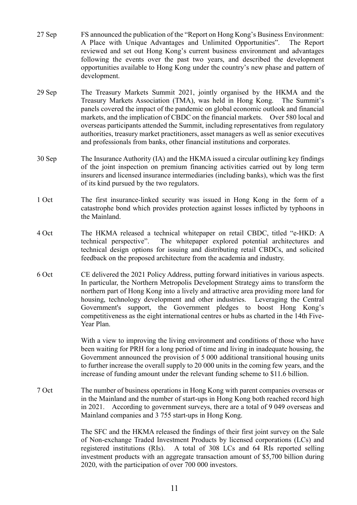- 27 Sep FS announced the publication of the "Report on Hong Kong's Business Environment: A Place with Unique Advantages and Unlimited Opportunities". The Report reviewed and set out Hong Kong's current business environment and advantages following the events over the past two years, and described the development opportunities available to Hong Kong under the country's new phase and pattern of development.
- 29 Sep The Treasury Markets Summit 2021, jointly organised by the HKMA and the Treasury Markets Association (TMA), was held in Hong Kong. The Summit's panels covered the impact of the pandemic on global economic outlook and financial markets, and the implication of CBDC on the financial markets. Over 580 local and overseas participants attended the Summit, including representatives from regulatory authorities, treasury market practitioners, asset managers as well as senior executives and professionals from banks, other financial institutions and corporates.
- 30 Sep The Insurance Authority (IA) and the HKMA issued a circular outlining key findings of the joint inspection on premium financing activities carried out by long term insurers and licensed insurance intermediaries (including banks), which was the first of its kind pursued by the two regulators.
- 1 Oct The first insurance-linked security was issued in Hong Kong in the form of a catastrophe bond which provides protection against losses inflicted by typhoons in the Mainland.
- 4 Oct The HKMA released a technical whitepaper on retail CBDC, titled "e-HKD: A technical perspective". The whitepaper explored potential architectures and technical design options for issuing and distributing retail CBDCs, and solicited feedback on the proposed architecture from the academia and industry.
- 6 Oct CE delivered the 2021 Policy Address, putting forward initiatives in various aspects. In particular, the Northern Metropolis Development Strategy aims to transform the northern part of Hong Kong into a lively and attractive area providing more land for housing, technology development and other industries. Leveraging the Central Government's support, the Government pledges to boost Hong Kong's competitiveness as the eight international centres or hubs as charted in the 14th Five-Year Plan.

With a view to improving the living environment and conditions of those who have been waiting for PRH for a long period of time and living in inadequate housing, the Government announced the provision of 5 000 additional transitional housing units to further increase the overall supply to 20 000 units in the coming few years, and the increase of funding amount under the relevant funding scheme to \$11.6 billion.

7 Oct The number of business operations in Hong Kong with parent companies overseas or in the Mainland and the number of start-ups in Hong Kong both reached record high in 2021. According to government surveys, there are a total of 9 049 overseas and Mainland companies and 3 755 start-ups in Hong Kong.

> The SFC and the HKMA released the findings of their first joint survey on the Sale of Non-exchange Traded Investment Products by licensed corporations (LCs) and registered institutions (RIs). A total of 308 LCs and 64 RIs reported selling investment products with an aggregate transaction amount of \$5,700 billion during 2020, with the participation of over 700 000 investors.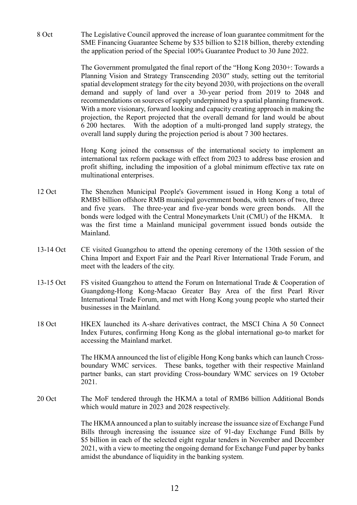8 Oct The Legislative Council approved the increase of loan guarantee commitment for the SME Financing Guarantee Scheme by \$35 billion to \$218 billion, thereby extending the application period of the Special 100% Guarantee Product to 30 June 2022.

> The Government promulgated the final report of the "Hong Kong 2030+: Towards a Planning Vision and Strategy Transcending 2030" study, setting out the territorial spatial development strategy for the city beyond 2030, with projections on the overall demand and supply of land over a 30-year period from 2019 to 2048 and recommendations on sources of supply underpinned by a spatial planning framework. With a more visionary, forward looking and capacity creating approach in making the projection, the Report projected that the overall demand for land would be about 6 200 hectares. With the adoption of a multi-pronged land supply strategy, the overall land supply during the projection period is about 7 300 hectares.

> Hong Kong joined the consensus of the international society to implement an international tax reform package with effect from 2023 to address base erosion and profit shifting, including the imposition of a global minimum effective tax rate on multinational enterprises.

- 12 Oct The Shenzhen Municipal People's Government issued in Hong Kong a total of RMB5 billion offshore RMB municipal government bonds, with tenors of two, three and five years. The three-year and five-year bonds were green bonds. All the bonds were lodged with the Central Moneymarkets Unit (CMU) of the HKMA. It was the first time a Mainland municipal government issued bonds outside the Mainland.
- 13-14 Oct CE visited Guangzhou to attend the opening ceremony of the 130th session of the China Import and Export Fair and the Pearl River International Trade Forum, and meet with the leaders of the city.
- 13-15 Oct FS visited Guangzhou to attend the Forum on International Trade & Cooperation of Guangdong-Hong Kong-Macao Greater Bay Area of the first Pearl River International Trade Forum, and met with Hong Kong young people who started their businesses in the Mainland.
- 18 Oct HKEX launched its A-share derivatives contract, the MSCI China A 50 Connect Index Futures, confirming Hong Kong as the global international go-to market for accessing the Mainland market.

The HKMA announced the list of eligible Hong Kong banks which can launch Crossboundary WMC services. These banks, together with their respective Mainland partner banks, can start providing Cross-boundary WMC services on 19 October 2021.

20 Oct The MoF tendered through the HKMA a total of RMB6 billion Additional Bonds which would mature in 2023 and 2028 respectively.

> The HKMA announced a plan to suitably increase the issuance size of Exchange Fund Bills through increasing the issuance size of 91-day Exchange Fund Bills by \$5 billion in each of the selected eight regular tenders in November and December 2021, with a view to meeting the ongoing demand for Exchange Fund paper by banks amidst the abundance of liquidity in the banking system.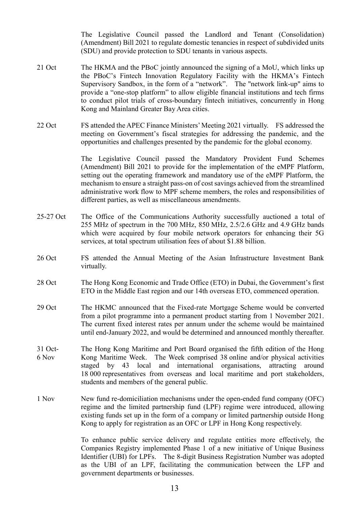The Legislative Council passed the Landlord and Tenant (Consolidation) (Amendment) Bill 2021 to regulate domestic tenancies in respect of subdivided units (SDU) and provide protection to SDU tenants in various aspects.

- 21 Oct The HKMA and the PBoC jointly announced the signing of a MoU, which links up the PBoC's Fintech Innovation Regulatory Facility with the HKMA's Fintech Supervisory Sandbox, in the form of a "network". The "network link-up" aims to provide a "one-stop platform" to allow eligible financial institutions and tech firms to conduct pilot trials of cross-boundary fintech initiatives, concurrently in Hong Kong and Mainland Greater Bay Area cities.
- 22 Oct FS attended the APEC Finance Ministers' Meeting 2021 virtually. FS addressed the meeting on Government's fiscal strategies for addressing the pandemic, and the opportunities and challenges presented by the pandemic for the global economy.

The Legislative Council passed the Mandatory Provident Fund Schemes (Amendment) Bill 2021 to provide for the implementation of the eMPF Platform, setting out the operating framework and mandatory use of the eMPF Platform, the mechanism to ensure a straight pass-on of cost savings achieved from the streamlined administrative work flow to MPF scheme members, the roles and responsibilities of different parties, as well as miscellaneous amendments.

- 25-27 Oct The Office of the Communications Authority successfully auctioned a total of 255 MHz of spectrum in the 700 MHz, 850 MHz, 2.5/2.6 GHz and 4.9 GHz bands which were acquired by four mobile network operators for enhancing their 5G services, at total spectrum utilisation fees of about \$1.88 billion.
- 26 Oct FS attended the Annual Meeting of the Asian Infrastructure Investment Bank virtually.
- 28 Oct The Hong Kong Economic and Trade Office (ETO) in Dubai, the Government's first ETO in the Middle East region and our 14th overseas ETO, commenced operation.
- 29 Oct The HKMC announced that the Fixed-rate Mortgage Scheme would be converted from a pilot programme into a permanent product starting from 1 November 2021. The current fixed interest rates per annum under the scheme would be maintained until end-January 2022, and would be determined and announced monthly thereafter.
- 31 Oct-6 Nov The Hong Kong Maritime and Port Board organised the fifth edition of the Hong Kong Maritime Week. The Week comprised 38 online and/or physical activities staged by 43 local and international organisations, attracting around 18 000 representatives from overseas and local maritime and port stakeholders, students and members of the general public.
- 1 Nov New fund re-domiciliation mechanisms under the open-ended fund company (OFC) regime and the limited partnership fund (LPF) regime were introduced, allowing existing funds set up in the form of a company or limited partnership outside Hong Kong to apply for registration as an OFC or LPF in Hong Kong respectively.

To enhance public service delivery and regulate entities more effectively, the Companies Registry implemented Phase 1 of a new initiative of Unique Business Identifier (UBI) for LPFs. The 8-digit Business Registration Number was adopted as the UBI of an LPF, facilitating the communication between the LFP and government departments or businesses.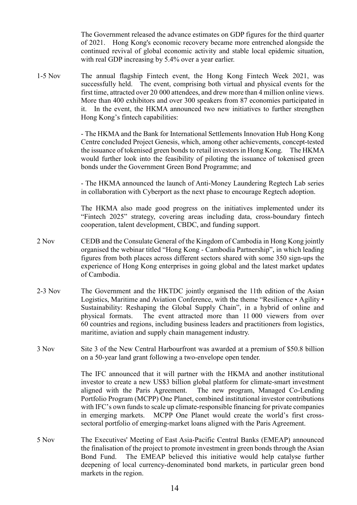The Government released the advance estimates on GDP figures for the third quarter of 2021. Hong Kong's economic recovery became more entrenched alongside the continued revival of global economic activity and stable local epidemic situation, with real GDP increasing by 5.4% over a year earlier.

1-5 Nov The annual flagship Fintech event, the Hong Kong Fintech Week 2021, was successfully held. The event, comprising both virtual and physical events for the first time, attracted over 20 000 attendees, and drew more than 4 million online views. More than 400 exhibitors and over 300 speakers from 87 economies participated in it. In the event, the HKMA announced two new initiatives to further strengthen Hong Kong's fintech capabilities:

> - The HKMA and the Bank for International Settlements Innovation Hub Hong Kong Centre concluded Project Genesis, which, among other achievements, concept-tested the issuance of tokenised green bonds to retail investors in Hong Kong. The HKMA would further look into the feasibility of piloting the issuance of tokenised green bonds under the Government Green Bond Programme; and

> - The HKMA announced the launch of Anti-Money Laundering Regtech Lab series in collaboration with Cyberport as the next phase to encourage Regtech adoption.

> The HKMA also made good progress on the initiatives implemented under its "Fintech 2025" strategy, covering areas including data, cross-boundary fintech cooperation, talent development, CBDC, and funding support.

- 2 Nov CEDB and the Consulate General of the Kingdom of Cambodia in Hong Kong jointly organised the webinar titled "Hong Kong - Cambodia Partnership", in which leading figures from both places across different sectors shared with some 350 sign-ups the experience of Hong Kong enterprises in going global and the latest market updates of Cambodia.
- 2-3 Nov The Government and the HKTDC jointly organised the 11th edition of the Asian Logistics, Maritime and Aviation Conference, with the theme "Resilience • Agility • Sustainability: Reshaping the Global Supply Chain", in a hybrid of online and physical formats. The event attracted more than 11 000 viewers from over 60 countries and regions, including business leaders and practitioners from logistics, maritime, aviation and supply chain management industry.
- 3 Nov Site 3 of the New Central Harbourfront was awarded at a premium of \$50.8 billion on a 50-year land grant following a two-envelope open tender.

The IFC announced that it will partner with the HKMA and another institutional investor to create a new US\$3 billion global platform for climate-smart investment aligned with the Paris Agreement. The new program, Managed Co-Lending Portfolio Program (MCPP) One Planet, combined institutional investor contributions with IFC's own funds to scale up climate-responsible financing for private companies in emerging markets. MCPP One Planet would create the world's first crosssectoral portfolio of emerging-market loans aligned with the Paris Agreement.

5 Nov The Executives' Meeting of East Asia-Pacific Central Banks (EMEAP) announced the finalisation of the project to promote investment in green bonds through the Asian Bond Fund. The EMEAP believed this initiative would help catalyse further deepening of local currency-denominated bond markets, in particular green bond markets in the region.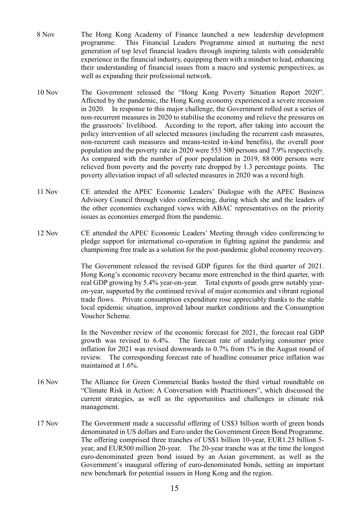- 8 Nov The Hong Kong Academy of Finance launched a new leadership development programme. This Financial Leaders Programme aimed at nurturing the next generation of top level financial leaders through inspiring talents with considerable experience in the financial industry, equipping them with a mindset to lead, enhancing their understanding of financial issues from a macro and systemic perspectives, as well as expanding their professional network.
- 10 Nov The Government released the "Hong Kong Poverty Situation Report 2020". Affected by the pandemic, the Hong Kong economy experienced a severe recession in 2020. In response to this major challenge, the Government rolled out a series of non-recurrent measures in 2020 to stabilise the economy and relieve the pressures on the grassroots' livelihood. According to the report, after taking into account the policy intervention of all selected measures (including the recurrent cash measures, non-recurrent cash measures and means-tested in-kind benefits), the overall poor population and the poverty rate in 2020 were 553 500 persons and 7.9% respectively. As compared with the number of poor population in 2019, 88 000 persons were relieved from poverty and the poverty rate dropped by 1.3 percentage points. The poverty alleviation impact of all selected measures in 2020 was a record high.
- 11 Nov CE attended the APEC Economic Leaders' Dialogue with the APEC Business Advisory Council through video conferencing, during which she and the leaders of the other economies exchanged views with ABAC representatives on the priority issues as economies emerged from the pandemic.
- 12 Nov CE attended the APEC Economic Leaders' Meeting through video conferencing to pledge support for international co-operation in fighting against the pandemic and championing free trade as a solution for the post-pandemic global economy recovery.

The Government released the revised GDP figures for the third quarter of 2021. Hong Kong's economic recovery became more entrenched in the third quarter, with real GDP growing by 5.4% year-on-year. Total exports of goods grew notably yearon-year, supported by the continued revival of major economies and vibrant regional trade flows. Private consumption expenditure rose appreciably thanks to the stable local epidemic situation, improved labour market conditions and the Consumption Voucher Scheme.

In the November review of the economic forecast for 2021, the forecast real GDP growth was revised to 6.4%. The forecast rate of underlying consumer price inflation for 2021 was revised downwards to 0.7% from 1% in the August round of review. The corresponding forecast rate of headline consumer price inflation was maintained at 1.6%.

- 16 Nov The Alliance for Green Commercial Banks hosted the third virtual roundtable on "Climate Risk in Action: A Conversation with Practitioners", which discussed the current strategies, as well as the opportunities and challenges in climate risk management.
- 17 Nov The Government made a successful offering of US\$3 billion worth of green bonds denominated in US dollars and Euro under the Government Green Bond Programme. The offering comprised three tranches of US\$1 billion 10-year, EUR1.25 billion 5 year, and EUR500 million 20-year. The 20-year tranche was at the time the longest euro-denominated green bond issued by an Asian government, as well as the Government's inaugural offering of euro-denominated bonds, setting an important new benchmark for potential issuers in Hong Kong and the region.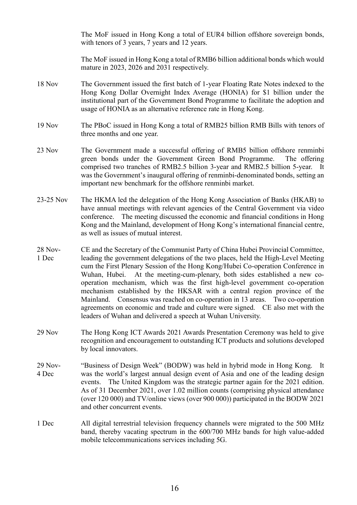The MoF issued in Hong Kong a total of EUR4 billion offshore sovereign bonds, with tenors of 3 years, 7 years and 12 years.

The MoF issued in Hong Kong a total of RMB6 billion additional bonds which would mature in 2023, 2026 and 2031 respectively.

- 18 Nov The Government issued the first batch of 1-year Floating Rate Notes indexed to the Hong Kong Dollar Overnight Index Average (HONIA) for \$1 billion under the institutional part of the Government Bond Programme to facilitate the adoption and usage of HONIA as an alternative reference rate in Hong Kong.
- 19 Nov The PBoC issued in Hong Kong a total of RMB25 billion RMB Bills with tenors of three months and one year.
- 23 Nov The Government made a successful offering of RMB5 billion offshore renminbi green bonds under the Government Green Bond Programme. The offering comprised two tranches of RMB2.5 billion 3-year and RMB2.5 billion 5-year. It was the Government's inaugural offering of renminbi-denominated bonds, setting an important new benchmark for the offshore renminbi market.
- 23-25 Nov The HKMA led the delegation of the Hong Kong Association of Banks (HKAB) to have annual meetings with relevant agencies of the Central Government via video conference. The meeting discussed the economic and financial conditions in Hong Kong and the Mainland, development of Hong Kong's international financial centre, as well as issues of mutual interest.
- 28 Nov-1 Dec CE and the Secretary of the Communist Party of China Hubei Provincial Committee, leading the government delegations of the two places, held the High-Level Meeting cum the First Plenary Session of the Hong Kong/Hubei Co-operation Conference in Wuhan, Hubei. At the meeting-cum-plenary, both sides established a new cooperation mechanism, which was the first high-level government co-operation mechanism established by the HKSAR with a central region province of the Mainland. Consensus was reached on co-operation in 13 areas. Two co-operation agreements on economic and trade and culture were signed. CE also met with the leaders of Wuhan and delivered a speech at Wuhan University.
- 29 Nov The Hong Kong ICT Awards 2021 Awards Presentation Ceremony was held to give recognition and encouragement to outstanding ICT products and solutions developed by local innovators.
- 29 Nov-4 Dec "Business of Design Week" (BODW) was held in hybrid mode in Hong Kong. It was the world's largest annual design event of Asia and one of the leading design events. The United Kingdom was the strategic partner again for the 2021 edition. As of 31 December 2021, over 1.02 million counts (comprising physical attendance (over 120 000) and TV/online views (over 900 000)) participated in the BODW 2021 and other concurrent events.
- 1 Dec All digital terrestrial television frequency channels were migrated to the 500 MHz band, thereby vacating spectrum in the 600/700 MHz bands for high value-added mobile telecommunications services including 5G.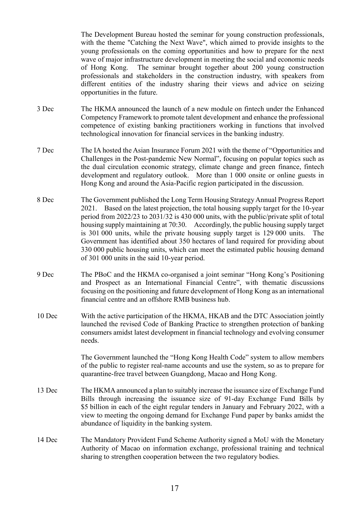The Development Bureau hosted the seminar for young construction professionals, with the theme "Catching the Next Wave", which aimed to provide insights to the young professionals on the coming opportunities and how to prepare for the next wave of major infrastructure development in meeting the social and economic needs of Hong Kong. The seminar brought together about 200 young construction professionals and stakeholders in the construction industry, with speakers from different entities of the industry sharing their views and advice on seizing opportunities in the future.

- 3 Dec The HKMA announced the launch of a new module on fintech under the Enhanced Competency Framework to promote talent development and enhance the professional competence of existing banking practitioners working in functions that involved technological innovation for financial services in the banking industry.
- 7 Dec The IA hosted the Asian Insurance Forum 2021 with the theme of "Opportunities and Challenges in the Post-pandemic New Normal", focusing on popular topics such as the dual circulation economic strategy, climate change and green finance, fintech development and regulatory outlook. More than 1 000 onsite or online guests in Hong Kong and around the Asia-Pacific region participated in the discussion.
- 8 Dec The Government published the Long Term Housing Strategy Annual Progress Report 2021. Based on the latest projection, the total housing supply target for the 10-year period from 2022/23 to 2031/32 is 430 000 units, with the public/private split of total housing supply maintaining at 70:30. Accordingly, the public housing supply target is 301 000 units, while the private housing supply target is 129 000 units. The Government has identified about 350 hectares of land required for providing about 330 000 public housing units, which can meet the estimated public housing demand of 301 000 units in the said 10-year period.
- 9 Dec The PBoC and the HKMA co-organised a joint seminar "Hong Kong's Positioning and Prospect as an International Financial Centre", with thematic discussions focusing on the positioning and future development of Hong Kong as an international financial centre and an offshore RMB business hub.
- 10 Dec With the active participation of the HKMA, HKAB and the DTC Association jointly launched the revised Code of Banking Practice to strengthen protection of banking consumers amidst latest development in financial technology and evolving consumer needs.

The Government launched the "Hong Kong Health Code" system to allow members of the public to register real-name accounts and use the system, so as to prepare for quarantine-free travel between Guangdong, Macao and Hong Kong.

- 13 Dec The HKMA announced a plan to suitably increase the issuance size of Exchange Fund Bills through increasing the issuance size of 91-day Exchange Fund Bills by \$5 billion in each of the eight regular tenders in January and February 2022, with a view to meeting the ongoing demand for Exchange Fund paper by banks amidst the abundance of liquidity in the banking system.
- 14 Dec The Mandatory Provident Fund Scheme Authority signed a MoU with the Monetary Authority of Macao on information exchange, professional training and technical sharing to strengthen cooperation between the two regulatory bodies.